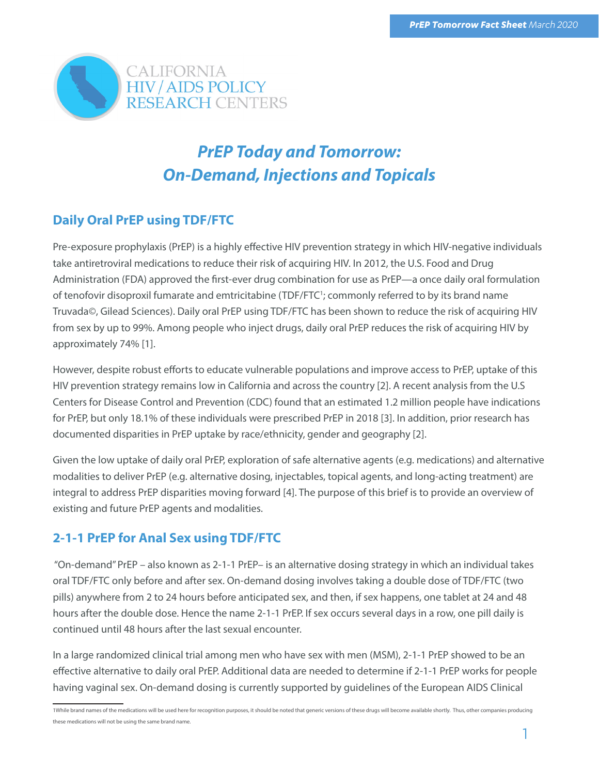

# *PrEP Today and Tomorrow: On-Demand, Injections and Topicals*

# **Daily Oral PrEP using TDF/FTC**

Pre-exposure prophylaxis (PrEP) is a highly effective HIV prevention strategy in which HIV-negative individuals take antiretroviral medications to reduce their risk of acquiring HIV. In 2012, the U.S. Food and Drug Administration (FDA) approved the first-ever drug combination for use as PrEP—a once daily oral formulation of tenofovir disoproxil fumarate and emtricitabine (TDF/FTC<sup>1</sup>; commonly referred to by its brand name Truvada©, Gilead Sciences). Daily oral PrEP using TDF/FTC has been shown to reduce the risk of acquiring HIV from sex by up to 99%. Among people who inject drugs, daily oral PrEP reduces the risk of acquiring HIV by approximately 74% [1].

However, despite robust efforts to educate vulnerable populations and improve access to PrEP, uptake of this HIV prevention strategy remains low in California and across the country [2]. A recent analysis from the U.S Centers for Disease Control and Prevention (CDC) found that an estimated 1.2 million people have indications for PrEP, but only 18.1% of these individuals were prescribed PrEP in 2018 [3]. In addition, prior research has documented disparities in PrEP uptake by race/ethnicity, gender and geography [2].

Given the low uptake of daily oral PrEP, exploration of safe alternative agents (e.g. medications) and alternative modalities to deliver PrEP (e.g. alternative dosing, injectables, topical agents, and long-acting treatment) are integral to address PrEP disparities moving forward [4]. The purpose of this brief is to provide an overview of existing and future PrEP agents and modalities.

# **2-1-1 PrEP for Anal Sex using TDF/FTC**

 "On-demand" PrEP – also known as 2-1-1 PrEP– is an alternative dosing strategy in which an individual takes oral TDF/FTC only before and after sex. On-demand dosing involves taking a double dose of TDF/FTC (two pills) anywhere from 2 to 24 hours before anticipated sex, and then, if sex happens, one tablet at 24 and 48 hours after the double dose. Hence the name 2-1-1 PrEP. If sex occurs several days in a row, one pill daily is continued until 48 hours after the last sexual encounter.

In a large randomized clinical trial among men who have sex with men (MSM), 2-1-1 PrEP showed to be an effective alternative to daily oral PrEP. Additional data are needed to determine if 2-1-1 PrEP works for people having vaginal sex. On-demand dosing is currently supported by guidelines of the European AIDS Clinical

<sup>1</sup>While brand names of the medications will be used here for recognition purposes, it should be noted that generic versions of these drugs will become available shortly. Thus, other companies producing these medications will not be using the same brand name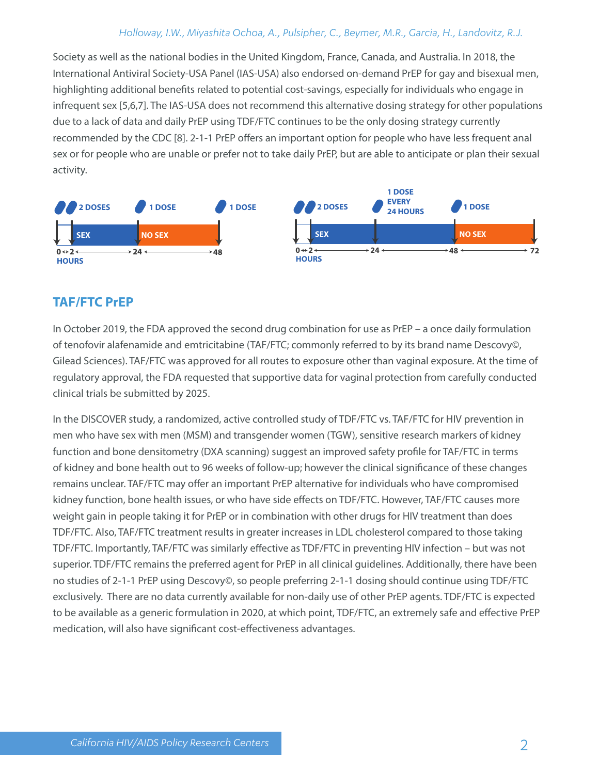### *Holloway, I.W., Miyashita Ochoa, A., Pulsipher, C., Beymer, M.R., Garcia, H., Landovitz, R.J.*

Society as well as the national bodies in the United Kingdom, France, Canada, and Australia. In 2018, the International Antiviral Society-USA Panel (IAS-USA) also endorsed on-demand PrEP for gay and bisexual men, highlighting additional benefits related to potential cost-savings, especially for individuals who engage in infrequent sex [5,6,7]. The IAS-USA does not recommend this alternative dosing strategy for other populations due to a lack of data and daily PrEP using TDF/FTC continues to be the only dosing strategy currently recommended by the CDC [8]. 2-1-1 PrEP offers an important option for people who have less frequent anal sex or for people who are unable or prefer not to take daily PrEP, but are able to anticipate or plan their sexual activity.



# **TAF/FTC PrEP**

In October 2019, the FDA approved the second drug combination for use as PrEP – a once daily formulation of tenofovir alafenamide and emtricitabine (TAF/FTC; commonly referred to by its brand name Descovy©, Gilead Sciences). TAF/FTC was approved for all routes to exposure other than vaginal exposure. At the time of regulatory approval, the FDA requested that supportive data for vaginal protection from carefully conducted clinical trials be submitted by 2025.

In the DISCOVER study, a randomized, active controlled study of TDF/FTC vs. TAF/FTC for HIV prevention in men who have sex with men (MSM) and transgender women (TGW), sensitive research markers of kidney function and bone densitometry (DXA scanning) suggest an improved safety profile for TAF/FTC in terms of kidney and bone health out to 96 weeks of follow-up; however the clinical significance of these changes remains unclear. TAF/FTC may offer an important PrEP alternative for individuals who have compromised kidney function, bone health issues, or who have side effects on TDF/FTC. However, TAF/FTC causes more weight gain in people taking it for PrEP or in combination with other drugs for HIV treatment than does TDF/FTC. Also, TAF/FTC treatment results in greater increases in LDL cholesterol compared to those taking TDF/FTC. Importantly, TAF/FTC was similarly effective as TDF/FTC in preventing HIV infection – but was not superior. TDF/FTC remains the preferred agent for PrEP in all clinical guidelines. Additionally, there have been no studies of 2-1-1 PrEP using Descovy©, so people preferring 2-1-1 dosing should continue using TDF/FTC exclusively. There are no data currently available for non-daily use of other PrEP agents. TDF/FTC is expected to be available as a generic formulation in 2020, at which point, TDF/FTC, an extremely safe and effective PrEP medication, will also have significant cost-effectiveness advantages.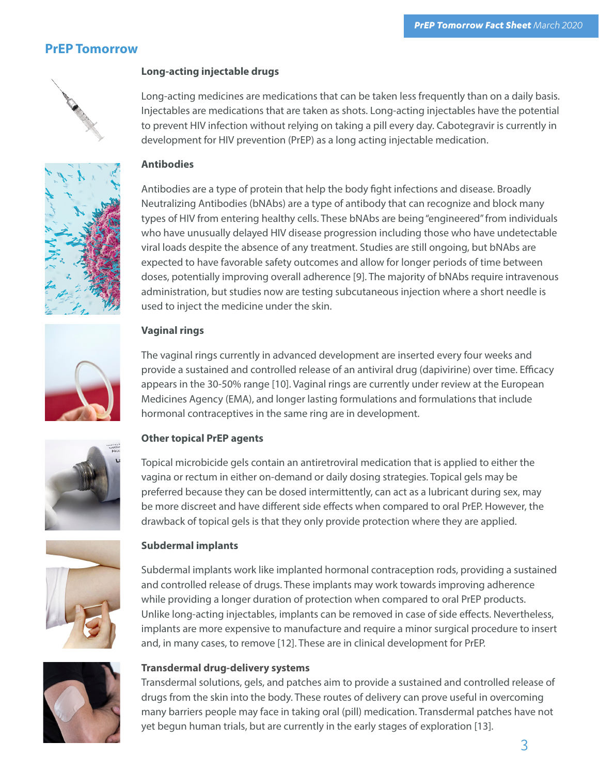# **PrEP Tomorrow**



#### **Long-acting injectable drugs**

Long-acting medicines are medications that can be taken less frequently than on a daily basis. Injectables are medications that are taken as shots. Long-acting injectables have the potential to prevent HIV infection without relying on taking a pill every day. Cabotegravir is currently in development for HIV prevention (PrEP) as a long acting injectable medication.



#### **Antibodies**

Antibodies are a type of protein that help the body fight infections and disease. Broadly Neutralizing Antibodies (bNAbs) are a type of antibody that can recognize and block many types of HIV from entering healthy cells. These bNAbs are being "engineered" from individuals who have unusually delayed HIV disease progression including those who have undetectable viral loads despite the absence of any treatment. Studies are still ongoing, but bNAbs are expected to have favorable safety outcomes and allow for longer periods of time between doses, potentially improving overall adherence [9]. The majority of bNAbs require intravenous administration, but studies now are testing subcutaneous injection where a short needle is used to inject the medicine under the skin.



#### **Vaginal rings**

The vaginal rings currently in advanced development are inserted every four weeks and provide a sustained and controlled release of an antiviral drug (dapivirine) over time. Efficacy appears in the 30-50% range [10]. Vaginal rings are currently under review at the European Medicines Agency (EMA), and longer lasting formulations and formulations that include hormonal contraceptives in the same ring are in development.



#### **Other topical PrEP agents**

Topical microbicide gels contain an antiretroviral medication that is applied to either the vagina or rectum in either on-demand or daily dosing strategies. Topical gels may be preferred because they can be dosed intermittently, can act as a lubricant during sex, may be more discreet and have different side effects when compared to oral PrEP. However, the drawback of topical gels is that they only provide protection where they are applied.



#### **Subdermal implants**

Subdermal implants work like implanted hormonal contraception rods, providing a sustained and controlled release of drugs. These implants may work towards improving adherence while providing a longer duration of protection when compared to oral PrEP products. Unlike long-acting injectables, implants can be removed in case of side effects. Nevertheless, implants are more expensive to manufacture and require a minor surgical procedure to insert and, in many cases, to remove [12]. These are in clinical development for PrEP.



#### **Transdermal drug-delivery systems**

Transdermal solutions, gels, and patches aim to provide a sustained and controlled release of drugs from the skin into the body. These routes of delivery can prove useful in overcoming many barriers people may face in taking oral (pill) medication. Transdermal patches have not yet begun human trials, but are currently in the early stages of exploration [13].